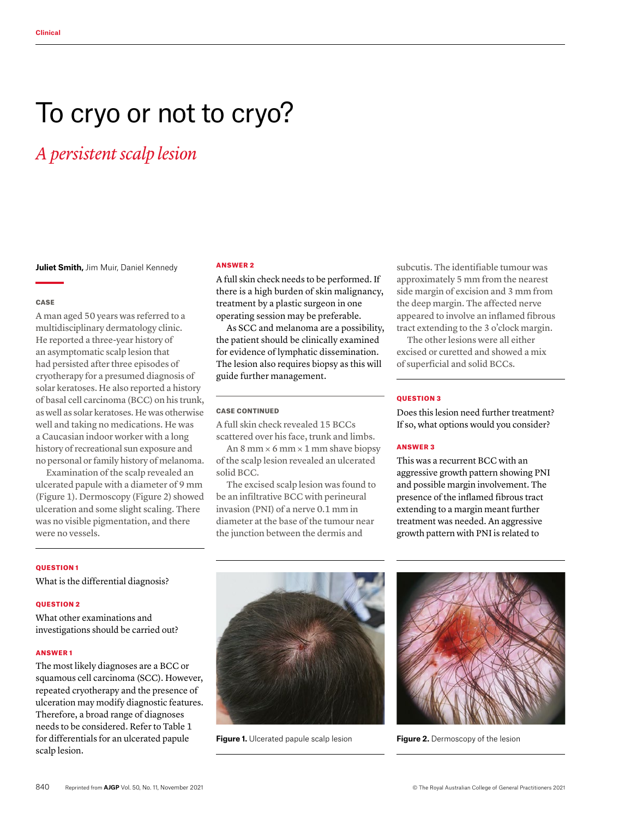# To cryo or not to cryo?

# *A persistent scalp lesion*

**Juliet Smith,** Jim Muir, Daniel Kennedy

#### **CASE**

A man aged 50 years was referred to a multidisciplinary dermatology clinic. He reported a three-year history of an asymptomatic scalp lesion that had persisted after three episodes of cryotherapy for a presumed diagnosis of solar keratoses. He also reported a history of basal cell carcinoma (BCC) on his trunk, as well as solar keratoses. He was otherwise well and taking no medications. He was a Caucasian indoor worker with a long history of recreational sun exposure and no personal or family history of melanoma.

Examination of the scalp revealed an ulcerated papule with a diameter of 9 mm (Figure 1). Dermoscopy (Figure 2) showed ulceration and some slight scaling. There was no visible pigmentation, and there were no vessels.

#### QUESTION 1

What is the differential diagnosis?

## QUESTION 2

What other examinations and investigations should be carried out?

#### ANSWER 1

The most likely diagnoses are a BCC or squamous cell carcinoma (SCC). However, repeated cryotherapy and the presence of ulceration may modify diagnostic features. Therefore, a broad range of diagnoses needs to be considered. Refer to Table 1 for differentials for an ulcerated papule scalp lesion.

#### ANSWER 2

A full skin check needs to be performed. If there is a high burden of skin malignancy, treatment by a plastic surgeon in one operating session may be preferable.

As SCC and melanoma are a possibility, the patient should be clinically examined for evidence of lymphatic dissemination. The lesion also requires biopsy as this will guide further management.

# CASE CONTINUED

A full skin check revealed 15 BCCs scattered over his face, trunk and limbs.

An  $8$  mm  $\times$  6 mm  $\times$  1 mm shave biopsy of the scalp lesion revealed an ulcerated solid BCC.

The excised scalp lesion was found to be an infiltrative BCC with perineural invasion (PNI) of a nerve 0.1 mm in diameter at the base of the tumour near the junction between the dermis and

subcutis. The identifiable tumour was approximately 5 mm from the nearest side margin of excision and 3 mm from the deep margin. The affected nerve appeared to involve an inflamed fibrous tract extending to the 3 o'clock margin.

The other lesions were all either excised or curetted and showed a mix of superficial and solid BCCs.

## QUESTION 3

Does this lesion need further treatment? If so, what options would you consider?

#### ANSWER 3

This was a recurrent BCC with an aggressive growth pattern showing PNI and possible margin involvement. The presence of the inflamed fibrous tract extending to a margin meant further treatment was needed. An aggressive growth pattern with PNI is related to



**Figure 1.** Ulcerated papule scalp lesion **Figure 2.** Dermoscopy of the lesion

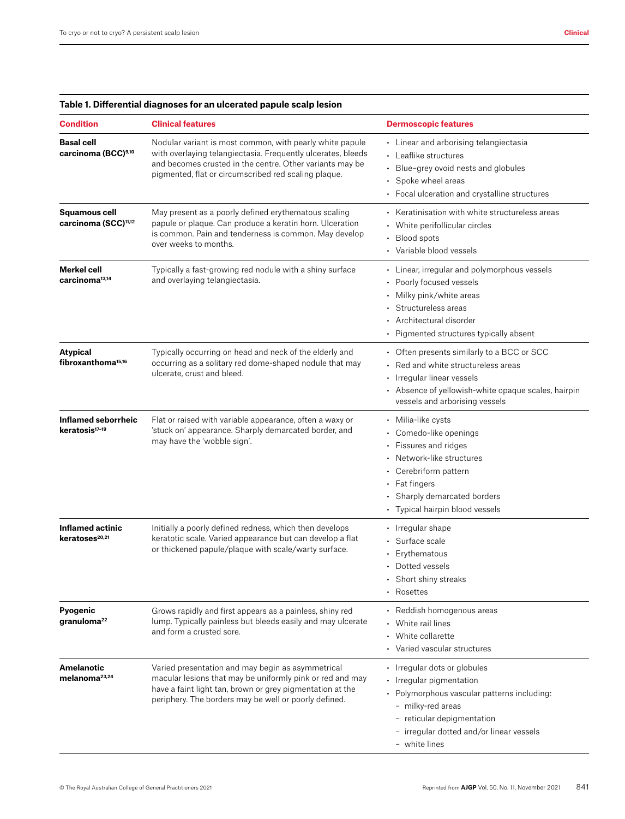| <b>Condition</b>                                         | <b>Clinical features</b>                                                                                                                                                                                                                     | <b>Dermoscopic features</b>                                                                                                                                                                                             |
|----------------------------------------------------------|----------------------------------------------------------------------------------------------------------------------------------------------------------------------------------------------------------------------------------------------|-------------------------------------------------------------------------------------------------------------------------------------------------------------------------------------------------------------------------|
| <b>Basal cell</b><br>carcinoma (BCC)9,10                 | Nodular variant is most common, with pearly white papule<br>with overlaying telangiectasia. Frequently ulcerates, bleeds<br>and becomes crusted in the centre. Other variants may be<br>pigmented, flat or circumscribed red scaling plaque. | • Linear and arborising telangiectasia<br>• Leaflike structures<br>Blue-grey ovoid nests and globules<br>Spoke wheel areas<br>• Focal ulceration and crystalline structures                                             |
| <b>Squamous cell</b><br>carcinoma (SCC) <sup>11,12</sup> | May present as a poorly defined erythematous scaling<br>papule or plaque. Can produce a keratin horn. Ulceration<br>is common. Pain and tenderness is common. May develop<br>over weeks to months.                                           | • Keratinisation with white structureless areas<br>• White perifollicular circles<br>• Blood spots<br>• Variable blood vessels                                                                                          |
| Merkel cell<br>carcinoma <sup>13,14</sup>                | Typically a fast-growing red nodule with a shiny surface<br>and overlaying telangiectasia.                                                                                                                                                   | • Linear, irregular and polymorphous vessels<br>• Poorly focused vessels<br>• Milky pink/white areas<br>· Structureless areas<br>• Architectural disorder<br>• Pigmented structures typically absent                    |
| Atypical<br>fibroxanthoma <sup>15,16</sup>               | Typically occurring on head and neck of the elderly and<br>occurring as a solitary red dome-shaped nodule that may<br>ulcerate, crust and bleed.                                                                                             | • Often presents similarly to a BCC or SCC<br>• Red and white structureless areas<br>• Irregular linear vessels<br>• Absence of yellowish-white opaque scales, hairpin<br>vessels and arborising vessels                |
| <b>Inflamed seborrheic</b><br>keratosis <sup>17-19</sup> | Flat or raised with variable appearance, often a waxy or<br>'stuck on' appearance. Sharply demarcated border, and<br>may have the 'wobble sign'.                                                                                             | • Milia-like cysts<br>• Comedo-like openings<br>• Fissures and ridges<br>• Network-like structures<br>• Cerebriform pattern<br>• Fat fingers<br>• Sharply demarcated borders<br>• Typical hairpin blood vessels         |
| Inflamed actinic<br>keratoses <sup>20,21</sup>           | Initially a poorly defined redness, which then develops<br>keratotic scale. Varied appearance but can develop a flat<br>or thickened papule/plaque with scale/warty surface.                                                                 | • Irregular shape<br>· Surface scale<br>• Erythematous<br>• Dotted vessels<br>• Short shiny streaks<br>• Rosettes                                                                                                       |
| Pyogenic<br>granuloma <sup>22</sup>                      | Grows rapidly and first appears as a painless, shiny red<br>lump. Typically painless but bleeds easily and may ulcerate<br>and form a crusted sore.                                                                                          | • Reddish homogenous areas<br>• White rail lines<br>• White collarette<br>• Varied vascular structures                                                                                                                  |
| <b>Amelanotic</b><br>melanoma <sup>23,24</sup>           | Varied presentation and may begin as asymmetrical<br>macular lesions that may be uniformly pink or red and may<br>have a faint light tan, brown or grey pigmentation at the<br>periphery. The borders may be well or poorly defined.         | • Irregular dots or globules<br>• Irregular pigmentation<br>• Polymorphous vascular patterns including:<br>- milky-red areas<br>- reticular depigmentation<br>- irregular dotted and/or linear vessels<br>- white lines |

# **Table 1. Differential diagnoses for an ulcerated papule scalp lesion**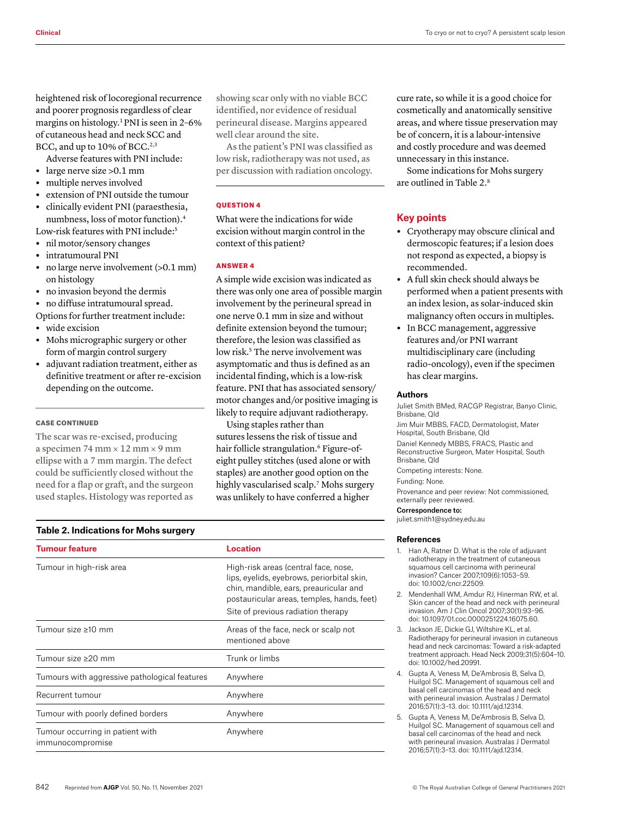heightened risk of locoregional recurrence and poorer prognosis regardless of clear margins on histology.1 PNI is seen in 2–6% of cutaneous head and neck SCC and BCC, and up to 10% of BCC.<sup>2,3</sup>

Adverse features with PNI include:

- **•** large nerve size >0.1 mm
- **•** multiple nerves involved
- **•** extension of PNI outside the tumour
- **•** clinically evident PNI (paraesthesia, numbness, loss of motor function).4

Low-risk features with PNI include:<sup>5</sup> **•** nil motor/sensory changes

- **•** intratumoural PNI
- **•** no large nerve involvement (>0.1 mm)
- on histology **•** no invasion beyond the dermis
- 

**•** no diffuse intratumoural spread. Options for further treatment include:

- **•** wide excision
- **•** Mohs micrographic surgery or other form of margin control surgery
- **•** adjuvant radiation treatment, either as definitive treatment or after re-excision depending on the outcome.

#### CASE CONTINUED

The scar was re-excised, producing a specimen 74 mm × 12 mm × 9 mm ellipse with a 7 mm margin. The defect could be sufficiently closed without the need for a flap or graft, and the surgeon used staples. Histology was reported as

showing scar only with no viable BCC identified, nor evidence of residual perineural disease. Margins appeared well clear around the site.

As the patient's PNI was classified as low risk, radiotherapy was not used, as per discussion with radiation oncology.

#### **OUESTION 4**

What were the indications for wide excision without margin control in the context of this patient?

#### ANSWER 4

A simple wide excision was indicated as there was only one area of possible margin involvement by the perineural spread in one nerve 0.1 mm in size and without definite extension beyond the tumour; therefore, the lesion was classified as low risk.<sup>5</sup> The nerve involvement was asymptomatic and thus is defined as an incidental finding, which is a low-risk feature. PNI that has associated sensory/ motor changes and/or positive imaging is likely to require adjuvant radiotherapy.

Using staples rather than sutures lessens the risk of tissue and hair follicle strangulation.<sup>6</sup> Figure-ofeight pulley stitches (used alone or with staples) are another good option on the highly vascularised scalp.<sup>7</sup> Mohs surgery was unlikely to have conferred a higher

#### **Table 2. Indications for Mohs surgery**

| <b>Tumour feature</b>                                | Location                                                                                                                                                                                                         |
|------------------------------------------------------|------------------------------------------------------------------------------------------------------------------------------------------------------------------------------------------------------------------|
| Tumour in high-risk area                             | High-risk areas (central face, nose,<br>lips, eyelids, eyebrows, periorbital skin,<br>chin, mandible, ears, preauricular and<br>postauricular areas, temples, hands, feet)<br>Site of previous radiation therapy |
| Tumour size ≥10 mm                                   | Areas of the face, neck or scalp not<br>mentioned above                                                                                                                                                          |
| Tumour size >20 mm                                   | Trunk or limbs                                                                                                                                                                                                   |
| Tumours with aggressive pathological features        | Anywhere                                                                                                                                                                                                         |
| Recurrent tumour                                     | Anywhere                                                                                                                                                                                                         |
| Tumour with poorly defined borders                   | Anywhere                                                                                                                                                                                                         |
| Tumour occurring in patient with<br>immunocompromise | Anywhere                                                                                                                                                                                                         |

cure rate, so while it is a good choice for cosmetically and anatomically sensitive areas, and where tissue preservation may be of concern, it is a labour-intensive and costly procedure and was deemed unnecessary in this instance.

Some indications for Mohs surgery are outlined in Table 2.8

#### **Key points**

- **•** Cryotherapy may obscure clinical and dermoscopic features; if a lesion does not respond as expected, a biopsy is recommended.
- **•** A full skin check should always be performed when a patient presents with an index lesion, as solar-induced skin malignancy often occurs in multiples.
- **•** In BCC management, aggressive features and/or PNI warrant multidisciplinary care (including radio-oncology), even if the specimen has clear margins.

#### **Authors**

Juliet Smith BMed, RACGP Registrar, Banyo Clinic, Brisbane, Qld Jim Muir MBBS, FACD, Dermatologist, Mater Hospital, South Brisbane, Qld Daniel Kennedy MBBS, FRACS, Plastic and Reconstructive Surgeon, Mater Hospital, South Brisbane, Qld Competing interests: None.

Funding: None.

Provenance and peer review: Not commissioned, externally peer reviewed.

Correspondence to: juliet.smith1@sydney.edu.au

#### **References**

- 1. Han A, Ratner D. What is the role of adjuvant radiotherapy in the treatment of cutaneous squamous cell carcinoma with perineural invasion? Cancer 2007;109(6):1053–59. doi: 10.1002/cncr.22509.
- 2. Mendenhall WM, Amdur RJ, Hinerman RW, et al. Skin cancer of the head and neck with perineural invasion. Am J Clin Oncol 2007;30(1):93–96. doi: 10.1097/01.coc.0000251224.16075.60.
- 3. Jackson JE, Dickie GJ, Wiltshire KL, et al. Radiotherapy for perineural invasion in cutaneous head and neck carcinomas: Toward a risk-adapted treatment approach. Head Neck 2009;31(5):604–10. doi: 10.1002/hed.20991.
- 4. Gupta A, Veness M, De'Ambrosis B, Selva D, Huilgol SC. Management of squamous cell and basal cell carcinomas of the head and neck with perineural invasion. Australas J Dermatol 2016;57(1):3–13. doi: 10.1111/ajd.12314.
- 5. Gupta A, Veness M, De'Ambrosis B, Selva D, Huilgol SC. Management of squamous cell and basal cell carcinomas of the head and neck with perineural invasion. Australas J Dermatol 2016;57(1):3–13. doi: 10.1111/ajd.12314.